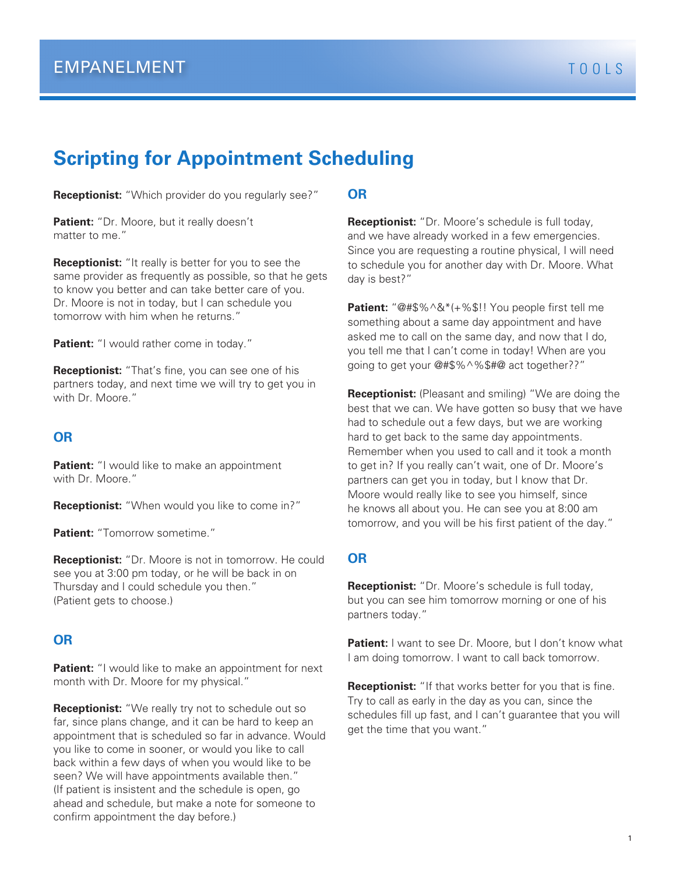# **Scripting for Appointment Scheduling**

**Receptionist:** "Which provider do you regularly see?"

**Patient:** "Dr. Moore, but it really doesn't matter to me."

**Receptionist:** "It really is better for you to see the same provider as frequently as possible, so that he gets to know you better and can take better care of you. Dr. Moore is not in today, but I can schedule you tomorrow with him when he returns."

**Patient:** "I would rather come in today."

**Receptionist:** "That's fine, you can see one of his partners today, and next time we will try to get you in with Dr. Moore."

### **OR**

**Patient:** "I would like to make an appointment with Dr. Moore."

**Receptionist:** "When would you like to come in?"

**Patient:** "Tomorrow sometime."

**Receptionist:** "Dr. Moore is not in tomorrow. He could see you at 3:00 pm today, or he will be back in on Thursday and I could schedule you then." (Patient gets to choose.)

### **OR**

**Patient:** "I would like to make an appointment for next month with Dr. Moore for my physical."

**Receptionist:** "We really try not to schedule out so far, since plans change, and it can be hard to keep an appointment that is scheduled so far in advance. Would you like to come in sooner, or would you like to call back within a few days of when you would like to be seen? We will have appointments available then." (If patient is insistent and the schedule is open, go ahead and schedule, but make a note for someone to confirm appointment the day before.)

#### **OR**

**Receptionist:** "Dr. Moore's schedule is full today, and we have already worked in a few emergencies. Since you are requesting a routine physical, I will need to schedule you for another day with Dr. Moore. What day is best?"

**Patient:** "@#\$%^&\*(+%\$!! You people first tell me something about a same day appointment and have asked me to call on the same day, and now that I do, you tell me that I can't come in today! When are you going to get your @#\$%^%\$#@ act together??"

**Receptionist:** (Pleasant and smiling) "We are doing the best that we can. We have gotten so busy that we have had to schedule out a few days, but we are working hard to get back to the same day appointments. Remember when you used to call and it took a month to get in? If you really can't wait, one of Dr. Moore's partners can get you in today, but I know that Dr. Moore would really like to see you himself, since he knows all about you. He can see you at 8:00 am tomorrow, and you will be his first patient of the day."

### **OR**

**Receptionist:** "Dr. Moore's schedule is full today, but you can see him tomorrow morning or one of his partners today."

**Patient:** I want to see Dr. Moore, but I don't know what I am doing tomorrow. I want to call back tomorrow.

**Receptionist:** "If that works better for you that is fine. Try to call as early in the day as you can, since the schedules fill up fast, and I can't guarantee that you will get the time that you want."